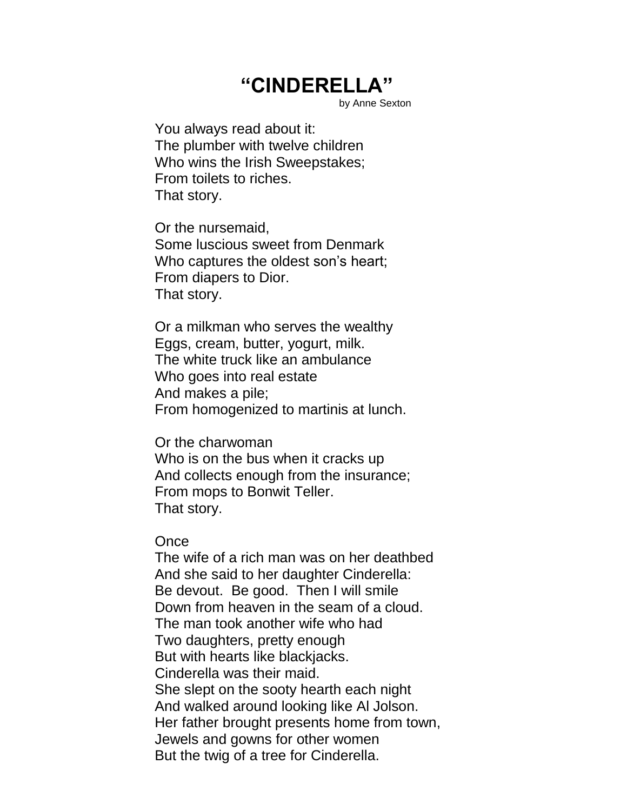## **"CINDERELLA"**

by Anne Sexton

You always read about it: The plumber with twelve children Who wins the Irish Sweepstakes; From toilets to riches. That story.

Or the nursemaid, Some luscious sweet from Denmark Who captures the oldest son's heart; From diapers to Dior. That story.

Or a milkman who serves the wealthy Eggs, cream, butter, yogurt, milk. The white truck like an ambulance Who goes into real estate And makes a pile; From homogenized to martinis at lunch.

Or the charwoman Who is on the bus when it cracks up And collects enough from the insurance; From mops to Bonwit Teller. That story.

**Once** 

The wife of a rich man was on her deathbed And she said to her daughter Cinderella: Be devout. Be good. Then I will smile Down from heaven in the seam of a cloud. The man took another wife who had Two daughters, pretty enough But with hearts like blackjacks. Cinderella was their maid. She slept on the sooty hearth each night And walked around looking like Al Jolson. Her father brought presents home from town, Jewels and gowns for other women But the twig of a tree for Cinderella.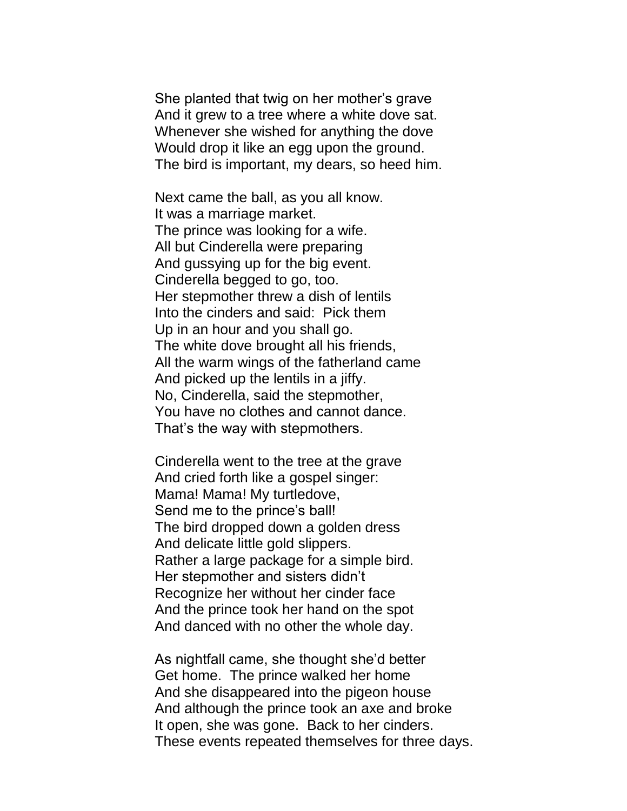She planted that twig on her mother's grave And it grew to a tree where a white dove sat. Whenever she wished for anything the dove Would drop it like an egg upon the ground. The bird is important, my dears, so heed him.

Next came the ball, as you all know. It was a marriage market. The prince was looking for a wife. All but Cinderella were preparing And gussying up for the big event. Cinderella begged to go, too. Her stepmother threw a dish of lentils Into the cinders and said: Pick them Up in an hour and you shall go. The white dove brought all his friends, All the warm wings of the fatherland came And picked up the lentils in a jiffy. No, Cinderella, said the stepmother, You have no clothes and cannot dance. That's the way with stepmothers.

Cinderella went to the tree at the grave And cried forth like a gospel singer: Mama! Mama! My turtledove, Send me to the prince's ball! The bird dropped down a golden dress And delicate little gold slippers. Rather a large package for a simple bird. Her stepmother and sisters didn't Recognize her without her cinder face And the prince took her hand on the spot And danced with no other the whole day.

As nightfall came, she thought she'd better Get home. The prince walked her home And she disappeared into the pigeon house And although the prince took an axe and broke It open, she was gone. Back to her cinders. These events repeated themselves for three days.